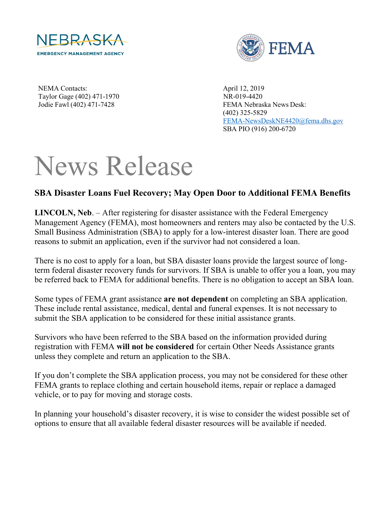



NEMA Contacts: April 12, 2019 Taylor Gage (402) 471-1970 NR-019-4420

Jodie Fawl (402) 471-7428 FEMA Nebraska News Desk: (402) 325-5829 [FEMA-NewsDeskNE4420@fema.dhs.gov](mailto:FEMA-NewsDeskNE4420@fema.dhs.gov) SBA PIO (916) 200-6720

## News Release

## **SBA Disaster Loans Fuel Recovery; May Open Door to Additional FEMA Benefits**

**LINCOLN, Neb**. – After registering for disaster assistance with the Federal Emergency Management Agency (FEMA), most homeowners and renters may also be contacted by the U.S. Small Business Administration (SBA) to apply for a low-interest disaster loan. There are good reasons to submit an application, even if the survivor had not considered a loan.

There is no cost to apply for a loan, but SBA disaster loans provide the largest source of longterm federal disaster recovery funds for survivors. If SBA is unable to offer you a loan, you may be referred back to FEMA for additional benefits. There is no obligation to accept an SBA loan.

Some types of FEMA grant assistance **are not dependent** on completing an SBA application. These include rental assistance, medical, dental and funeral expenses. It is not necessary to submit the SBA application to be considered for these initial assistance grants.

Survivors who have been referred to the SBA based on the information provided during registration with FEMA **will not be considered** for certain Other Needs Assistance grants unless they complete and return an application to the SBA.

If you don't complete the SBA application process, you may not be considered for these other FEMA grants to replace clothing and certain household items, repair or replace a damaged vehicle, or to pay for moving and storage costs.

In planning your household's disaster recovery, it is wise to consider the widest possible set of options to ensure that all available federal disaster resources will be available if needed.